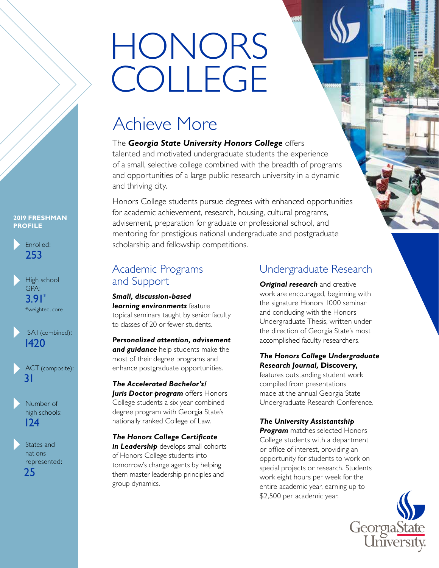# HONORS COLLEGE

# Achieve More

The *Georgia State University Honors College* offers talented and motivated undergraduate students the experience of a small, selective college combined with the breadth of programs and opportunities of a large public research university in a dynamic and thriving city.

Honors College students pursue degrees with enhanced opportunities for academic achievement, research, housing, cultural programs, advisement, preparation for graduate or professional school, and mentoring for prestigious national undergraduate and postgraduate scholarship and fellowship competitions.

# Academic Programs and Support

*Small, discussion-based learning environments* feature topical seminars taught by senior faculty to classes of 20 or fewer students.

*Personalized attention, advisement and guidance* help students make the most of their degree programs and enhance postgraduate opportunities.

*The Accelerated Bachelor's/ Juris Doctor program* offers Honors College students a six-year combined degree program with Georgia State's nationally ranked College of Law.

*The Honors College Certificate*  **in Leadership** develops small cohorts of Honors College students into tomorrow's change agents by helping them master leadership principles and group dynamics.

# Undergraduate Research

**Original research** and creative work are encouraged, beginning with the signature Honors 1000 seminar and concluding with the Honors Undergraduate Thesis, written under the direction of Georgia State's most accomplished faculty researchers.

### *The Honors College Undergraduate Research Journal,* **Discovery,**

features outstanding student work compiled from presentations made at the annual Georgia State Undergraduate Research Conference.

## *The University Assistantship*

**Program** matches selected Honors College students with a department or office of interest, providing an opportunity for students to work on special projects or research. Students work eight hours per week for the entire academic year, earning up to \$2,500 per academic year.



#### **2019 FRESHMAN PROFILE**



```
High school 
   GPA: 
    3.91*
    *weighted, core
▲
```


```
ACT (composite):
   31
▲
```


States and nations represented: 25 ▲